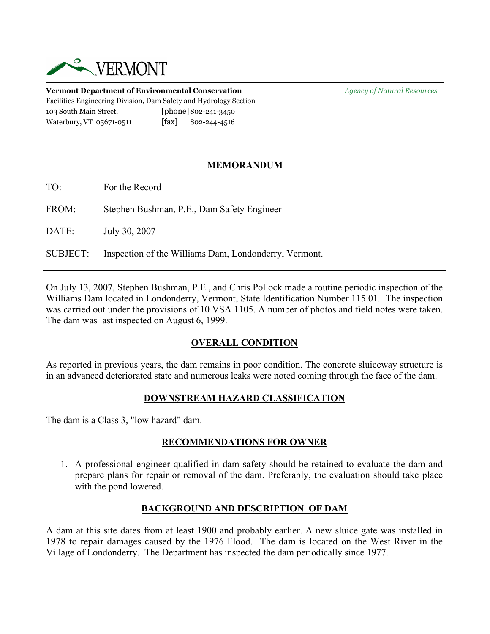

**Vermont Department of Environmental Conservation** *Agency of Natural Resources* Facilities Engineering Division, Dam Safety and Hydrology Section 103 South Main Street, [phone]802-241-3450 Waterbury, VT 05671-0511 [fax] 802-244-4516

### **MEMORANDUM**

TO: For the Record

FROM: Stephen Bushman, P.E., Dam Safety Engineer

DATE: July 30, 2007

SUBJECT: Inspection of the Williams Dam, Londonderry, Vermont.

On July 13, 2007, Stephen Bushman, P.E., and Chris Pollock made a routine periodic inspection of the Williams Dam located in Londonderry, Vermont, State Identification Number 115.01. The inspection was carried out under the provisions of 10 VSA 1105. A number of photos and field notes were taken. The dam was last inspected on August 6, 1999.

## **OVERALL CONDITION**

As reported in previous years, the dam remains in poor condition. The concrete sluiceway structure is in an advanced deteriorated state and numerous leaks were noted coming through the face of the dam.

#### **DOWNSTREAM HAZARD CLASSIFICATION**

The dam is a Class 3, "low hazard" dam.

#### **RECOMMENDATIONS FOR OWNER**

1. A professional engineer qualified in dam safety should be retained to evaluate the dam and prepare plans for repair or removal of the dam. Preferably, the evaluation should take place with the pond lowered.

#### **BACKGROUND AND DESCRIPTION OF DAM**

A dam at this site dates from at least 1900 and probably earlier. A new sluice gate was installed in 1978 to repair damages caused by the 1976 Flood. The dam is located on the West River in the Village of Londonderry. The Department has inspected the dam periodically since 1977.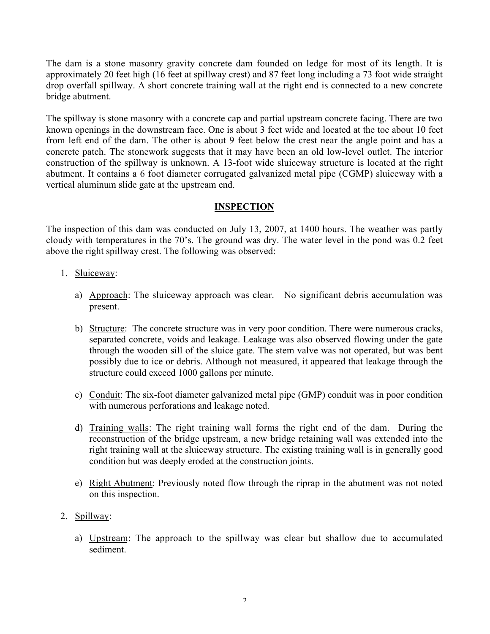The dam is a stone masonry gravity concrete dam founded on ledge for most of its length. It is approximately 20 feet high (16 feet at spillway crest) and 87 feet long including a 73 foot wide straight drop overfall spillway. A short concrete training wall at the right end is connected to a new concrete bridge abutment.

The spillway is stone masonry with a concrete cap and partial upstream concrete facing. There are two known openings in the downstream face. One is about 3 feet wide and located at the toe about 10 feet from left end of the dam. The other is about 9 feet below the crest near the angle point and has a concrete patch. The stonework suggests that it may have been an old low-level outlet. The interior construction of the spillway is unknown. A 13-foot wide sluiceway structure is located at the right abutment. It contains a 6 foot diameter corrugated galvanized metal pipe (CGMP) sluiceway with a vertical aluminum slide gate at the upstream end.

## **INSPECTION**

The inspection of this dam was conducted on July 13, 2007, at 1400 hours. The weather was partly cloudy with temperatures in the 70's. The ground was dry. The water level in the pond was 0.2 feet above the right spillway crest. The following was observed:

- 1. Sluiceway:
	- a) Approach: The sluiceway approach was clear. No significant debris accumulation was present.
	- b) Structure: The concrete structure was in very poor condition. There were numerous cracks, separated concrete, voids and leakage. Leakage was also observed flowing under the gate through the wooden sill of the sluice gate. The stem valve was not operated, but was bent possibly due to ice or debris. Although not measured, it appeared that leakage through the structure could exceed 1000 gallons per minute.
	- c) Conduit: The six-foot diameter galvanized metal pipe (GMP) conduit was in poor condition with numerous perforations and leakage noted.
	- d) Training walls: The right training wall forms the right end of the dam. During the reconstruction of the bridge upstream, a new bridge retaining wall was extended into the right training wall at the sluiceway structure. The existing training wall is in generally good condition but was deeply eroded at the construction joints.
	- e) Right Abutment: Previously noted flow through the riprap in the abutment was not noted on this inspection.
- 2. Spillway:
	- a) Upstream: The approach to the spillway was clear but shallow due to accumulated sediment.